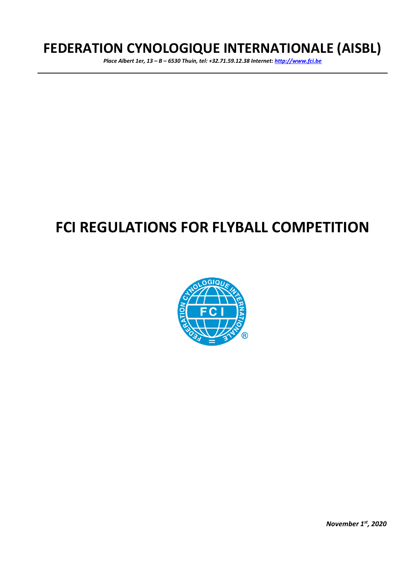# **FEDERATION CYNOLOGIQUE INTERNATIONALE (AISBL)**

*Place Albert 1er, 13 – B – 6530 Thuin, tel: +32.71.59.12.38 Internet: [http://www.fci.be](http://www.fci.be/)*

# **FCI REGULATIONS FOR FLYBALL COMPETITION**



*November 1st , 2020*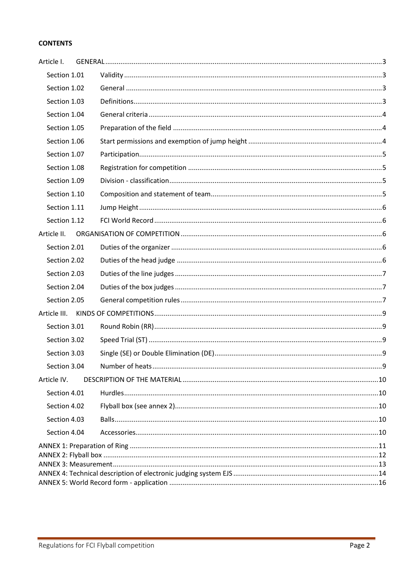### **CONTENTS**

| Article I.   |  |  |  |
|--------------|--|--|--|
| Section 1.01 |  |  |  |
| Section 1.02 |  |  |  |
| Section 1.03 |  |  |  |
| Section 1.04 |  |  |  |
| Section 1.05 |  |  |  |
| Section 1.06 |  |  |  |
| Section 1.07 |  |  |  |
| Section 1.08 |  |  |  |
| Section 1.09 |  |  |  |
| Section 1.10 |  |  |  |
| Section 1.11 |  |  |  |
| Section 1.12 |  |  |  |
| Article II.  |  |  |  |
| Section 2.01 |  |  |  |
| Section 2.02 |  |  |  |
| Section 2.03 |  |  |  |
| Section 2.04 |  |  |  |
| Section 2.05 |  |  |  |
| Article III. |  |  |  |
| Section 3.01 |  |  |  |
| Section 3.02 |  |  |  |
| Section 3.03 |  |  |  |
| Section 3.04 |  |  |  |
| Article IV.  |  |  |  |
| Section 4.01 |  |  |  |
| Section 4.02 |  |  |  |
| Section 4.03 |  |  |  |
| Section 4.04 |  |  |  |
|              |  |  |  |
|              |  |  |  |
|              |  |  |  |
|              |  |  |  |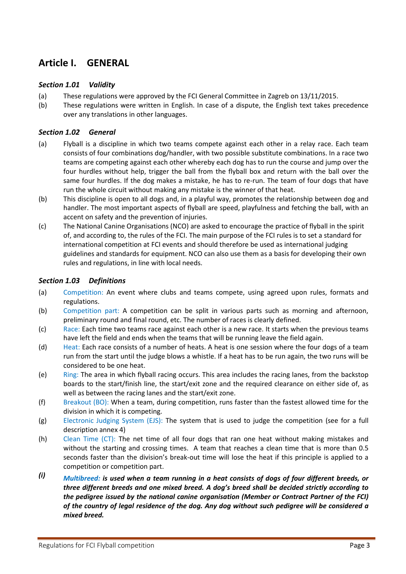### <span id="page-2-0"></span>**Article I. GENERAL**

### <span id="page-2-1"></span>*Section 1.01 Validity*

- (a) These regulations were approved by the FCI General Committee in Zagreb on 13/11/2015.
- (b) These regulations were written in English. In case of a dispute, the English text takes precedence over any translations in other languages.

### <span id="page-2-2"></span>*Section 1.02 General*

- (a) Flyball is a discipline in which two teams compete against each other in a relay race. Each team consists of four combinations dog/handler, with two possible substitute combinations. In a race two teams are competing against each other whereby each dog has to run the course and jump over the four hurdles without help, trigger the ball from the flyball box and return with the ball over the same four hurdles. If the dog makes a mistake, he has to re-run. The team of four dogs that have run the whole circuit without making any mistake is the winner of that heat.
- (b) This discipline is open to all dogs and, in a playful way, promotes the relationship between dog and handler. The most important aspects of flyball are speed, playfulness and fetching the ball, with an accent on safety and the prevention of injuries.
- (c) The National Canine Organisations (NCO) are asked to encourage the practice of flyball in the spirit of, and according to, the rules of the FCI. The main purpose of the FCI rules is to set a standard for international competition at FCI events and should therefore be used as international judging guidelines and standards for equipment. NCO can also use them as a basis for developing their own rules and regulations, in line with local needs.

### <span id="page-2-3"></span>*Section 1.03 Definitions*

- (a) Competition: An event where clubs and teams compete, using agreed upon rules, formats and regulations.
- (b) Competition part: A competition can be split in various parts such as morning and afternoon, preliminary round and final round, etc. The number of races is clearly defined.
- (c) Race: Each time two teams race against each other is a new race. It starts when the previous teams have left the field and ends when the teams that will be running leave the field again.
- (d) Heat: Each race consists of a number of heats. A heat is one session where the four dogs of a team run from the start until the judge blows a whistle. If a heat has to be run again, the two runs will be considered to be one heat.
- (e) Ring: The area in which flyball racing occurs. This area includes the racing lanes, from the backstop boards to the start/finish line, the start/exit zone and the required clearance on either side of, as well as between the racing lanes and the start/exit zone.
- (f) Breakout (BO): When a team, during competition, runs faster than the fastest allowed time for the division in which it is competing.
- (g) Electronic Judging System (EJS): The system that is used to judge the competition (see for a full description annex 4)
- (h) Clean Time (CT): The net time of all four dogs that ran one heat without making mistakes and without the starting and crossing times. A team that reaches a clean time that is more than 0.5 seconds faster than the division's break-out time will lose the heat if this principle is applied to a competition or competition part.
- *(i) Multibreed: is used when a team running in a heat consists of dogs of four different breeds, or three different breeds and one mixed breed. A dog's breed shall be decided strictly according to the pedigree issued by the national canine organisation (Member or Contract Partner of the FCI) of the country of legal residence of the dog. Any dog without such pedigree will be considered a mixed breed.*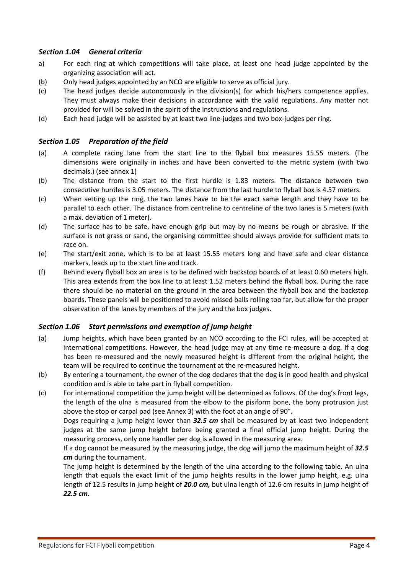### <span id="page-3-0"></span>*Section 1.04 General criteria*

- a) For each ring at which competitions will take place, at least one head judge appointed by the organizing association will act.
- (b) Only head judges appointed by an NCO are eligible to serve as official jury.
- (c) The head judges decide autonomously in the division(s) for which his/hers competence applies. They must always make their decisions in accordance with the valid regulations. Any matter not provided for will be solved in the spirit of the instructions and regulations.
- (d) Each head judge will be assisted by at least two line-judges and two box-judges per ring.

### <span id="page-3-1"></span>*Section 1.05 Preparation of the field*

- (a) A complete racing lane from the start line to the flyball box measures 15.55 meters. (The dimensions were originally in inches and have been converted to the metric system (with two decimals.) (see annex 1)
- (b) The distance from the start to the first hurdle is 1.83 meters. The distance between two consecutive hurdles is 3.05 meters. The distance from the last hurdle to flyball box is 4.57 meters.
- (c) When setting up the ring, the two lanes have to be the exact same length and they have to be parallel to each other. The distance from centreline to centreline of the two lanes is 5 meters (with a max. deviation of 1 meter).
- (d) The surface has to be safe, have enough grip but may by no means be rough or abrasive. If the surface is not grass or sand, the organising committee should always provide for sufficient mats to race on.
- (e) The start/exit zone, which is to be at least 15.55 meters long and have safe and clear distance markers, leads up to the start line and track.
- (f) Behind every flyball box an area is to be defined with backstop boards of at least 0.60 meters high. This area extends from the box line to at least 1.52 meters behind the flyball box. During the race there should be no material on the ground in the area between the flyball box and the backstop boards. These panels will be positioned to avoid missed balls rolling too far, but allow for the proper observation of the lanes by members of the jury and the box judges.

### <span id="page-3-2"></span>*Section 1.06 Start permissions and exemption of jump height*

- (a) Jump heights, which have been granted by an NCO according to the FCI rules, will be accepted at international competitions. However, the head judge may at any time re-measure a dog. If a dog has been re-measured and the newly measured height is different from the original height, the team will be required to continue the tournament at the re-measured height.
- (b) By entering a tournament, the owner of the dog declares that the dog is in good health and physical condition and is able to take part in flyball competition.
- (c) For international competition the jump height will be determined as follows. Of the dog's front legs, the length of the ulna is measured from the elbow to the pisiform bone, the bony protrusion just above the stop or carpal pad (see Annex 3) with the foot at an angle of 90°.

Dogs requiring a jump height lower than *32.5 cm* shall be measured by at least two independent judges at the same jump height before being granted a final official jump height. During the measuring process, only one handler per dog is allowed in the measuring area.

If a dog cannot be measured by the measuring judge, the dog will jump the maximum height of *32.5 cm* during the tournament.

The jump height is determined by the length of the ulna according to the following table. An ulna length that equals the exact limit of the jump heights results in the lower jump height, e.g. ulna length of 12.5 results in jump height of *20.0 cm,* but ulna length of 12.6 cm results in jump height of *22.5 cm.*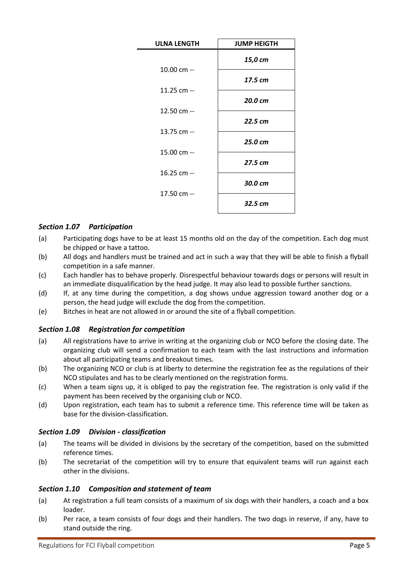| <b>ULNA LENGTH</b> | <b>JUMP HEIGTH</b> |  |  |
|--------------------|--------------------|--|--|
|                    | 15,0 cm            |  |  |
| 10.00 cm --        | 17.5 cm            |  |  |
| 11.25 cm --        | 20.0 cm            |  |  |
| 12.50 cm --        | 22.5 cm            |  |  |
| 13.75 cm --        | 25.0 cm            |  |  |
| 15.00 cm --        |                    |  |  |
| 16.25 cm --        | 27.5 cm            |  |  |
| 17.50 cm --        | 30.0 cm            |  |  |
|                    | 32.5 cm            |  |  |

### <span id="page-4-0"></span>*Section 1.07 Participation*

- (a) Participating dogs have to be at least 15 months old on the day of the competition. Each dog must be chipped or have a tattoo.
- (b) All dogs and handlers must be trained and act in such a way that they will be able to finish a flyball competition in a safe manner.
- (c) Each handler has to behave properly. Disrespectful behaviour towards dogs or persons will result in an immediate disqualification by the head judge. It may also lead to possible further sanctions.
- (d) If, at any time during the competition, a dog shows undue aggression toward another dog or a person, the head judge will exclude the dog from the competition.
- <span id="page-4-1"></span>(e) Bitches in heat are not allowed in or around the site of a flyball competition.

### *Section 1.08 Registration for competition*

- (a) All registrations have to arrive in writing at the organizing club or NCO before the closing date. The organizing club will send a confirmation to each team with the last instructions and information about all participating teams and breakout times.
- (b) The organizing NCO or club is at liberty to determine the registration fee as the regulations of their NCO stipulates and has to be clearly mentioned on the registration forms.
- (c) When a team signs up, it is obliged to pay the registration fee. The registration is only valid if the payment has been received by the organising club or NCO.
- (d) Upon registration, each team has to submit a reference time. This reference time will be taken as base for the division-classification.

### <span id="page-4-2"></span>*Section 1.09 Division - classification*

- (a) The teams will be divided in divisions by the secretary of the competition, based on the submitted reference times.
- (b) The secretariat of the competition will try to ensure that equivalent teams will run against each other in the divisions.

### <span id="page-4-3"></span>*Section 1.10 Composition and statement of team*

- (a) At registration a full team consists of a maximum of six dogs with their handlers, a coach and a box loader.
- (b) Per race, a team consists of four dogs and their handlers. The two dogs in reserve, if any, have to stand outside the ring.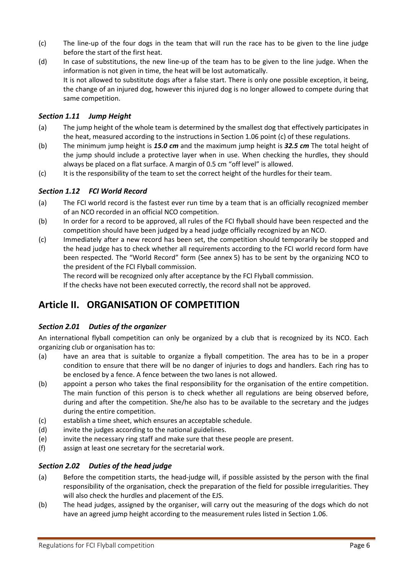- (c) The line-up of the four dogs in the team that will run the race has to be given to the line judge before the start of the first heat.
- (d) In case of substitutions, the new line-up of the team has to be given to the line judge. When the information is not given in time, the heat will be lost automatically. It is not allowed to substitute dogs after a false start. There is only one possible exception, it being, the change of an injured dog, however this injured dog is no longer allowed to compete during that same competition.

### <span id="page-5-0"></span>*Section 1.11 Jump Height*

- (a) The jump height of the whole team is determined by the smallest dog that effectively participates in the heat, measured according to the instructions in Section 1.06 point (c) of these regulations.
- (b) The minimum jump height is *15.0 cm* and the maximum jump height is *32.5 cm* The total height of the jump should include a protective layer when in use. When checking the hurdles, they should always be placed on a flat surface. A margin of 0.5 cm "off level" is allowed.
- (c) It is the responsibility of the team to set the correct height of the hurdles for their team.

### <span id="page-5-1"></span>*Section 1.12 FCI World Record*

- (a) The FCI world record is the fastest ever run time by a team that is an officially recognized member of an NCO recorded in an official NCO competition.
- (b) In order for a record to be approved, all rules of the FCI flyball should have been respected and the competition should have been judged by a head judge officially recognized by an NCO.
- (c) Immediately after a new record has been set, the competition should temporarily be stopped and the head judge has to check whether all requirements according to the FCI world record form have been respected. The "World Record" form (See annex 5) has to be sent by the organizing NCO to the president of the FCI Flyball commission.

The record will be recognized only after acceptance by the FCI Flyball commission. If the checks have not been executed correctly, the record shall not be approved.

### <span id="page-5-2"></span>**Article II. ORGANISATION OF COMPETITION**

### <span id="page-5-3"></span>*Section 2.01 Duties of the organizer*

An international flyball competition can only be organized by a club that is recognized by its NCO. Each organizing club or organisation has to:

- (a) have an area that is suitable to organize a flyball competition. The area has to be in a proper condition to ensure that there will be no danger of injuries to dogs and handlers. Each ring has to be enclosed by a fence. A fence between the two lanes is not allowed.
- (b) appoint a person who takes the final responsibility for the organisation of the entire competition. The main function of this person is to check whether all regulations are being observed before, during and after the competition. She/he also has to be available to the secretary and the judges during the entire competition.
- (c) establish a time sheet, which ensures an acceptable schedule.
- (d) invite the judges according to the national guidelines.
- (e) invite the necessary ring staff and make sure that these people are present.
- <span id="page-5-4"></span>(f) assign at least one secretary for the secretarial work.

### *Section 2.02 Duties of the head judge*

- (a) Before the competition starts, the head-judge will, if possible assisted by the person with the final responsibility of the organisation, check the preparation of the field for possible irregularities. They will also check the hurdles and placement of the EJS.
- (b) The head judges, assigned by the organiser, will carry out the measuring of the dogs which do not have an agreed jump height according to the measurement rules listed in Section 1.06.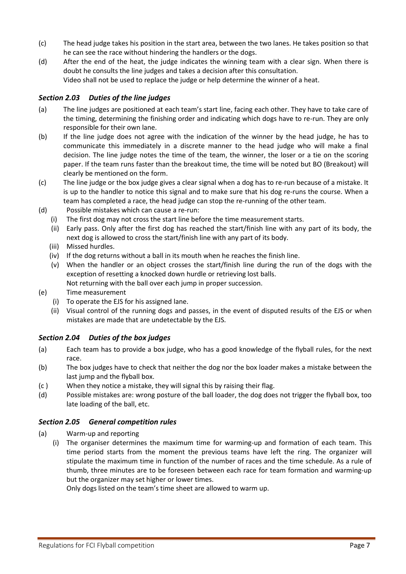- (c) The head judge takes his position in the start area, between the two lanes. He takes position so that he can see the race without hindering the handlers or the dogs.
- (d) After the end of the heat, the judge indicates the winning team with a clear sign. When there is doubt he consults the line judges and takes a decision after this consultation. Video shall not be used to replace the judge or help determine the winner of a heat.

### <span id="page-6-0"></span>*Section 2.03 Duties of the line judges*

- (a) The line judges are positioned at each team's start line, facing each other. They have to take care of the timing, determining the finishing order and indicating which dogs have to re-run. They are only responsible for their own lane.
- (b) If the line judge does not agree with the indication of the winner by the head judge, he has to communicate this immediately in a discrete manner to the head judge who will make a final decision. The line judge notes the time of the team, the winner, the loser or a tie on the scoring paper. If the team runs faster than the breakout time, the time will be noted but BO (Breakout) will clearly be mentioned on the form.
- (c) The line judge or the box judge gives a clear signal when a dog has to re-run because of a mistake. It is up to the handler to notice this signal and to make sure that his dog re-runs the course. When a team has completed a race, the head judge can stop the re-running of the other team.
- (d) Possible mistakes which can cause a re-run:
	- (i) The first dog may not cross the start line before the time measurement starts.
	- (ii) Early pass. Only after the first dog has reached the start/finish line with any part of its body, the next dog is allowed to cross the start/finish line with any part of its body.
	- (iii) Missed hurdles.
	- (iv) If the dog returns without a ball in its mouth when he reaches the finish line.
	- (v) When the handler or an object crosses the start/finish line during the run of the dogs with the exception of resetting a knocked down hurdle or retrieving lost balls. Not returning with the ball over each jump in proper succession.
- (e) Time measurement
	- (i) To operate the EJS for his assigned lane.
	- (ii) Visual control of the running dogs and passes, in the event of disputed results of the EJS or when mistakes are made that are undetectable by the EJS.

### <span id="page-6-1"></span>*Section 2.04 Duties of the box judges*

- (a) Each team has to provide a box judge, who has a good knowledge of the flyball rules, for the next race.
- (b) The box judges have to check that neither the dog nor the box loader makes a mistake between the last jump and the flyball box.
- (c ) When they notice a mistake, they will signal this by raising their flag.
- (d) Possible mistakes are: wrong posture of the ball loader, the dog does not trigger the flyball box, too late loading of the ball, etc.

### <span id="page-6-2"></span>*Section 2.05 General competition rules*

- (a) Warm-up and reporting
	- (i) The organiser determines the maximum time for warming-up and formation of each team. This time period starts from the moment the previous teams have left the ring. The organizer will stipulate the maximum time in function of the number of races and the time schedule. As a rule of thumb, three minutes are to be foreseen between each race for team formation and warming-up but the organizer may set higher or lower times.

Only dogs listed on the team's time sheet are allowed to warm up.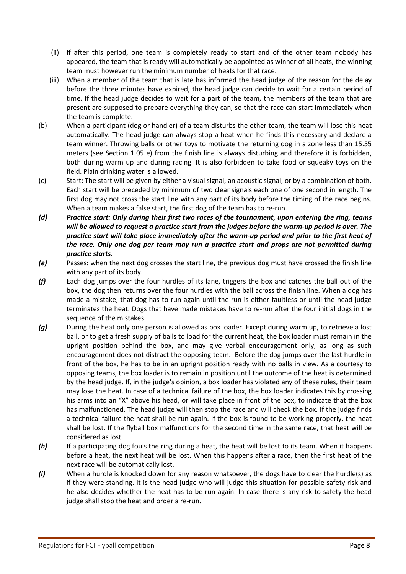- (ii) If after this period, one team is completely ready to start and of the other team nobody has appeared, the team that is ready will automatically be appointed as winner of all heats, the winning team must however run the minimum number of heats for that race.
- (iii) When a member of the team that is late has informed the head judge of the reason for the delay before the three minutes have expired, the head judge can decide to wait for a certain period of time. If the head judge decides to wait for a part of the team, the members of the team that are present are supposed to prepare everything they can, so that the race can start immediately when the team is complete.
- (b) When a participant (dog or handler) of a team disturbs the other team, the team will lose this heat automatically. The head judge can always stop a heat when he finds this necessary and declare a team winner. Throwing balls or other toys to motivate the returning dog in a zone less than 15.55 meters (see Section 1.05 e) from the finish line is always disturbing and therefore it is forbidden, both during warm up and during racing. It is also forbidden to take food or squeaky toys on the field. Plain drinking water is allowed.
- (c) Start: The start will be given by either a visual signal, an acoustic signal, or by a combination of both. Each start will be preceded by minimum of two clear signals each one of one second in length. The first dog may not cross the start line with any part of its body before the timing of the race begins. When a team makes a false start, the first dog of the team has to re-run.
- *(d) Practice start: Only during their first two races of the tournament, upon entering the ring, teams will be allowed to request a practice start from the judges before the warm-up period is over. The practice start will take place immediately after the warm-up period and prior to the first heat of the race. Only one dog per team may run a practice start and props are not permitted during practice starts.*
- *(e)* Passes: when the next dog crosses the start line, the previous dog must have crossed the finish line with any part of its body.
- *(f)* Each dog jumps over the four hurdles of its lane, triggers the box and catches the ball out of the box, the dog then returns over the four hurdles with the ball across the finish line. When a dog has made a mistake, that dog has to run again until the run is either faultless or until the head judge terminates the heat. Dogs that have made mistakes have to re-run after the four initial dogs in the sequence of the mistakes.
- *(g)* During the heat only one person is allowed as box loader. Except during warm up, to retrieve a lost ball, or to get a fresh supply of balls to load for the current heat, the box loader must remain in the upright position behind the box, and may give verbal encouragement only, as long as such encouragement does not distract the opposing team. Before the dog jumps over the last hurdle in front of the box, he has to be in an upright position ready with no balls in view. As a courtesy to opposing teams, the box loader is to remain in position until the outcome of the heat is determined by the head judge. If, in the judge's opinion, a box loader has violated any of these rules, their team may lose the heat. In case of a technical failure of the box, the box loader indicates this by crossing his arms into an "X" above his head, or will take place in front of the box, to indicate that the box has malfunctioned. The head judge will then stop the race and will check the box. If the judge finds a technical failure the heat shall be run again. If the box is found to be working properly, the heat shall be lost. If the flyball box malfunctions for the second time in the same race, that heat will be considered as lost.
- *(h)* If a participating dog fouls the ring during a heat, the heat will be lost to its team. When it happens before a heat, the next heat will be lost. When this happens after a race, then the first heat of the next race will be automatically lost.
- *(i)* When a hurdle is knocked down for any reason whatsoever, the dogs have to clear the hurdle(s) as if they were standing. It is the head judge who will judge this situation for possible safety risk and he also decides whether the heat has to be run again. In case there is any risk to safety the head judge shall stop the heat and order a re-run.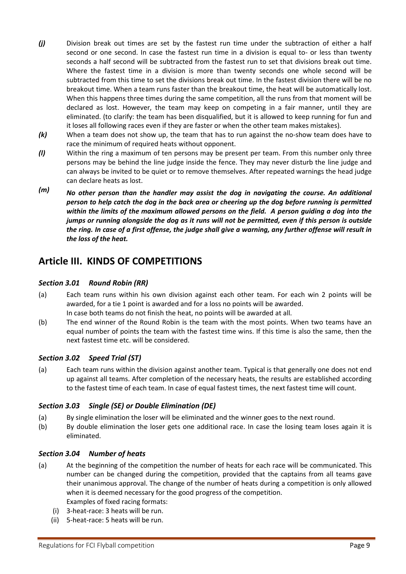- *(j)* Division break out times are set by the fastest run time under the subtraction of either a half second or one second. In case the fastest run time in a division is equal to- or less than twenty seconds a half second will be subtracted from the fastest run to set that divisions break out time. Where the fastest time in a division is more than twenty seconds one whole second will be subtracted from this time to set the divisions break out time. In the fastest division there will be no breakout time. When a team runs faster than the breakout time, the heat will be automatically lost. When this happens three times during the same competition, all the runs from that moment will be declared as lost. However, the team may keep on competing in a fair manner, until they are eliminated. (to clarify: the team has been disqualified, but it is allowed to keep running for fun and it loses all following races even if they are faster or when the other team makes mistakes).
- *(k)* When a team does not show up, the team that has to run against the no-show team does have to race the minimum of required heats without opponent.
- *(l)* Within the ring a maximum of ten persons may be present per team. From this number only three persons may be behind the line judge inside the fence. They may never disturb the line judge and can always be invited to be quiet or to remove themselves. After repeated warnings the head judge can declare heats as lost.
- *(m) No other person than the handler may assist the dog in navigating the course. An additional person to help catch the dog in the back area or cheering up the dog before running is permitted within the limits of the maximum allowed persons on the field. A person guiding a dog into the jumps or running alongside the dog as it runs will not be permitted, even if this person is outside the ring. In case of a first offense, the judge shall give a warning, any further offense will result in the loss of the heat.*

### <span id="page-8-0"></span>**Article III. KINDS OF COMPETITIONS**

### <span id="page-8-1"></span>*Section 3.01 Round Robin (RR)*

- (a) Each team runs within his own division against each other team. For each win 2 points will be awarded, for a tie 1 point is awarded and for a loss no points will be awarded. In case both teams do not finish the heat, no points will be awarded at all.
- (b) The end winner of the Round Robin is the team with the most points. When two teams have an equal number of points the team with the fastest time wins. If this time is also the same, then the next fastest time etc. will be considered.

### <span id="page-8-2"></span>*Section 3.02 Speed Trial (ST)*

(a) Each team runs within the division against another team. Typical is that generally one does not end up against all teams. After completion of the necessary heats, the results are established according to the fastest time of each team. In case of equal fastest times, the next fastest time will count.

### <span id="page-8-3"></span>*Section 3.03 Single (SE) or Double Elimination (DE)*

- (a) By single elimination the loser will be eliminated and the winner goes to the next round.
- (b) By double elimination the loser gets one additional race. In case the losing team loses again it is eliminated.

### <span id="page-8-4"></span>*Section 3.04 Number of heats*

- (a) At the beginning of the competition the number of heats for each race will be communicated. This number can be changed during the competition, provided that the captains from all teams gave their unanimous approval. The change of the number of heats during a competition is only allowed when it is deemed necessary for the good progress of the competition. Examples of fixed racing formats:
	- (i) 3-heat-race: 3 heats will be run.
	- (ii) 5-heat-race: 5 heats will be run.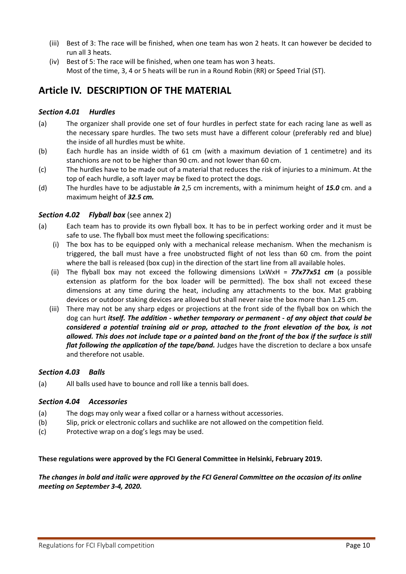- (iii) Best of 3: The race will be finished, when one team has won 2 heats. It can however be decided to run all 3 heats.
- (iv) Best of 5: The race will be finished, when one team has won 3 heats. Most of the time, 3, 4 or 5 heats will be run in a Round Robin (RR) or Speed Trial (ST).

### <span id="page-9-0"></span>**Article IV. DESCRIPTION OF THE MATERIAL**

### <span id="page-9-1"></span>*Section 4.01 Hurdles*

- (a) The organizer shall provide one set of four hurdles in perfect state for each racing lane as well as the necessary spare hurdles. The two sets must have a different colour (preferably red and blue) the inside of all hurdles must be white.
- (b) Each hurdle has an inside width of 61 cm (with a maximum deviation of 1 centimetre) and its stanchions are not to be higher than 90 cm. and not lower than 60 cm.
- (c) The hurdles have to be made out of a material that reduces the risk of injuries to a minimum. At the top of each hurdle, a soft layer may be fixed to protect the dogs.
- (d) The hurdles have to be adjustable *in* 2,5 cm increments, with a minimum height of *15.0* cm. and a maximum height of *32.5 cm.*

### <span id="page-9-2"></span>*Section 4.02 Flyball box* (see annex 2)

- (a) Each team has to provide its own flyball box. It has to be in perfect working order and it must be safe to use. The flyball box must meet the following specifications:
	- (i) The box has to be equipped only with a mechanical release mechanism. When the mechanism is triggered, the ball must have a free unobstructed flight of not less than 60 cm. from the point where the ball is released (box cup) in the direction of the start line from all available holes.
	- (ii) The flyball box may not exceed the following dimensions LxWxH = *77x77x51 cm* (a possible extension as platform for the box loader will be permitted). The box shall not exceed these dimensions at any time during the heat, including any attachments to the box. Mat grabbing devices or outdoor staking devices are allowed but shall never raise the box more than 1.25 cm.
	- (iii) There may not be any sharp edges or projections at the front side of the flyball box on which the dog can hurt *itself. The addition - whether temporary or permanent - of any object that could be considered a potential training aid or prop, attached to the front elevation of the box, is not allowed. This does not include tape or a painted band on the front of the box if the surface is still flat following the application of the tape/band.* Judges have the discretion to declare a box unsafe and therefore not usable.

### <span id="page-9-3"></span>*Section 4.03 Balls*

<span id="page-9-4"></span>(a) All balls used have to bounce and roll like a tennis ball does.

### *Section 4.04 Accessories*

- (a) The dogs may only wear a fixed collar or a harness without accessories.
- (b) Slip, prick or electronic collars and suchlike are not allowed on the competition field.
- (c) Protective wrap on a dog's legs may be used.

### **These regulations were approved by the FCI General Committee in Helsinki, February 2019.**

### *The changes in bold and italic were approved by the FCI General Committee on the occasion of its online meeting on September 3-4, 2020.*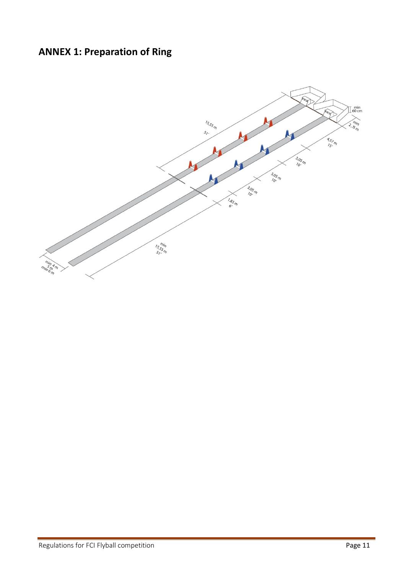## <span id="page-10-0"></span>**ANNEX 1: Preparation of Ring**

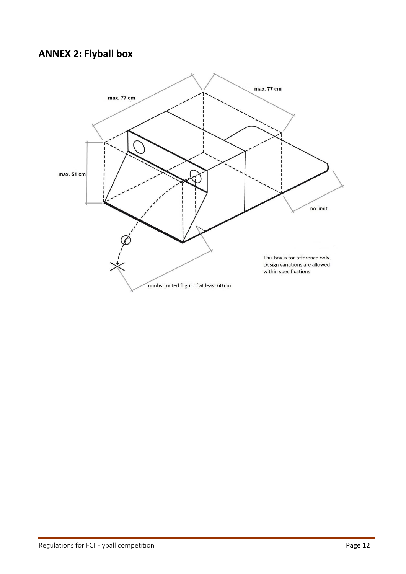### <span id="page-11-0"></span>**ANNEX 2: Flyball box**

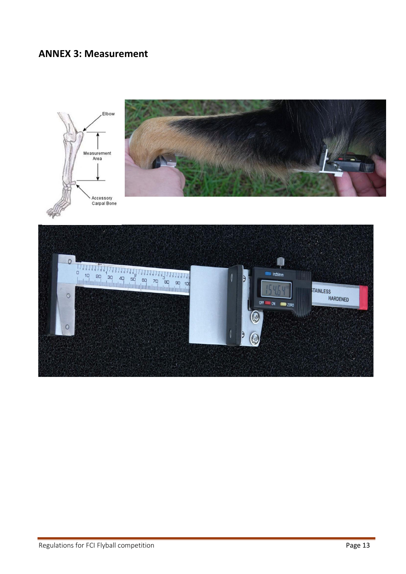### <span id="page-12-0"></span>**ANNEX 3: Measurement**

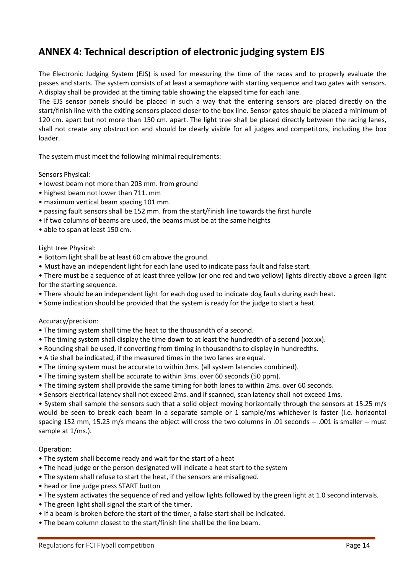### <span id="page-13-0"></span>**ANNEX 4: Technical description of electronic judging system EJS**

The Electronic Judging System (EJS) is used for measuring the time of the races and to properly evaluate the passes and starts. The system consists of at least a semaphore with starting sequence and two gates with sensors. A display shall be provided at the timing table showing the elapsed time for each lane.

The EJS sensor panels should be placed in such a way that the entering sensors are placed directly on the start/finish line with the exiting sensors placed closer to the box line. Sensor gates should be placed a minimum of 120 cm. apart but not more than 150 cm. apart. The light tree shall be placed directly between the racing lanes, shall not create any obstruction and should be clearly visible for all judges and competitors, including the box loader.

The system must meet the following minimal requirements:

Sensors Physical:

- lowest beam not more than 203 mm. from ground
- highest beam not lower than 711. mm
- maximum vertical beam spacing 101 mm.
- passing fault sensors shall be 152 mm. from the start/finish line towards the first hurdle
- if two columns of beams are used, the beams must be at the same heights
- able to span at least 150 cm.

#### Light tree Physical:

- Bottom light shall be at least 60 cm above the ground.
- Must have an independent light for each lane used to indicate pass fault and false start.
- There must be a sequence of at least three yellow (or one red and two yellow) lights directly above a green light for the starting sequence.
- There should be an independent light for each dog used to indicate dog faults during each heat.
- Some indication should be provided that the system is ready for the judge to start a heat.

### Accuracy/precision:

- The timing system shall time the heat to the thousandth of a second.
- The timing system shall display the time down to at least the hundredth of a second (xxx.xx).
- Rounding shall be used, if converting from timing in thousandths to display in hundredths.
- A tie shall be indicated, if the measured times in the two lanes are equal.
- The timing system must be accurate to within 3ms. (all system latencies combined).
- The timing system shall be accurate to within 3ms. over 60 seconds (50 ppm).
- The timing system shall provide the same timing for both lanes to within 2ms. over 60 seconds.
- Sensors electrical latency shall not exceed 2ms. and if scanned, scan latency shall not exceed 1ms.

• System shall sample the sensors such that a solid object moving horizontally through the sensors at 15.25 m/s would be seen to break each beam in a separate sample or 1 sample/ms whichever is faster (i.e. horizontal spacing 152 mm, 15.25 m/s means the object will cross the two columns in .01 seconds -- .001 is smaller -- must sample at 1/ms.).

### Operation:

- The system shall become ready and wait for the start of a heat
- The head judge or the person designated will indicate a heat start to the system
- The system shall refuse to start the heat, if the sensors are misaligned.
- head or line judge press START button
- The system activates the sequence of red and yellow lights followed by the green light at 1.0 second intervals.
- The green light shall signal the start of the timer.
- If a beam is broken before the start of the timer, a false start shall be indicated.
- The beam column closest to the start/finish line shall be the line beam.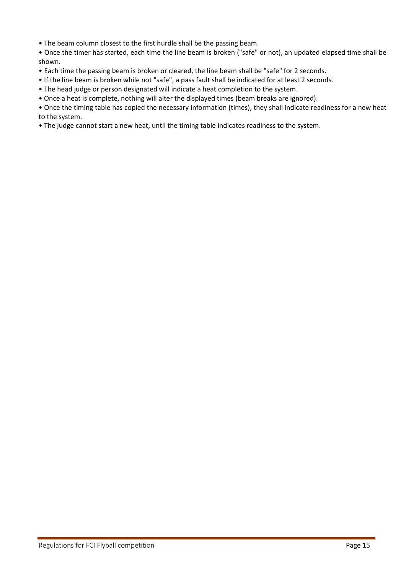• The beam column closest to the first hurdle shall be the passing beam.

• Once the timer has started, each time the line beam is broken ("safe" or not), an updated elapsed time shall be shown.

- Each time the passing beam is broken or cleared, the line beam shall be "safe" for 2 seconds.
- If the line beam is broken while not "safe", a pass fault shall be indicated for at least 2 seconds.
- The head judge or person designated will indicate a heat completion to the system.
- Once a heat is complete, nothing will alter the displayed times (beam breaks are ignored).

• Once the timing table has copied the necessary information (times), they shall indicate readiness for a new heat to the system.

• The judge cannot start a new heat, until the timing table indicates readiness to the system.